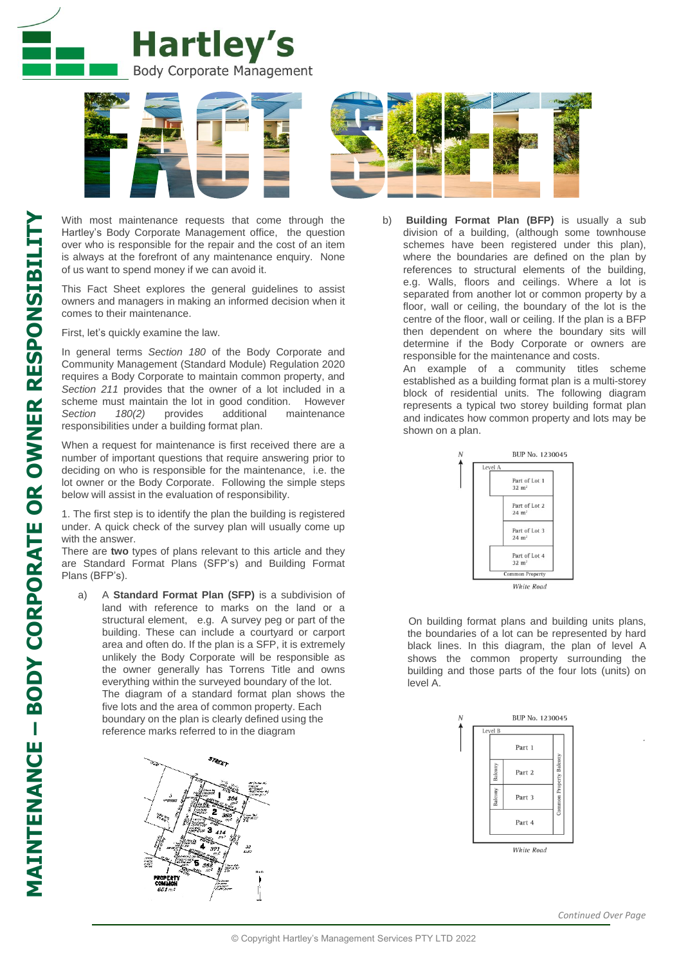



With most maintenance requests that come through the Hartley's Body Corporate Management office, the question over who is responsible for the repair and the cost of an item is always at the forefront of any maintenance enquiry. None of us want to spend money if we can avoid it.

This Fact Sheet explores the general guidelines to assist owners and managers in making an informed decision when it comes to their maintenance.

First, let's quickly examine the law.

In general terms *Section 180* of the Body Corporate and Community Management (Standard Module) Regulation 2020 requires a Body Corporate to maintain common property, and *Section 211* provides that the owner of a lot included in a scheme must maintain the lot in good condition. However *Section 180(2)* provides additional maintenance responsibilities under a building format plan.

When a request for maintenance is first received there are a number of important questions that require answering prior to deciding on who is responsible for the maintenance, i.e. the lot owner or the Body Corporate. Following the simple steps below will assist in the evaluation of responsibility.

1. The first step is to identify the plan the building is registered under. A quick check of the survey plan will usually come up with the answer.

There are **two** types of plans relevant to this article and they are Standard Format Plans (SFP's) and Building Format Plans (BFP's).

a) A **Standard Format Plan (SFP)** is a subdivision of land with reference to marks on the land or a structural element, e.g. A survey peg or part of the building. These can include a courtyard or carport area and often do. If the plan is a SFP, it is extremely unlikely the Body Corporate will be responsible as the owner generally has Torrens Title and owns everything within the surveyed boundary of the lot. The diagram of a standard format plan shows the five lots and the area of common property. Each boundary on the plan is clearly defined using the reference marks referred to in the diagram



- - b) **Building Format Plan (BFP)** is usually a sub division of a building, (although some townhouse schemes have been registered under this plan), where the boundaries are defined on the plan by references to structural elements of the building, e.g. Walls, floors and ceilings. Where a lot is separated from another lot or common property by a floor, wall or ceiling, the boundary of the lot is the centre of the floor, wall or ceiling. If the plan is a BFP then dependent on where the boundary sits will determine if the Body Corporate or owners are responsible for the maintenance and costs.

An example of a community titles scheme established as a building format plan is a multi-storey block of residential units. The following diagram represents a typical two storey building format plan and indicates how common property and lots may be shown on a plan.



 On building format plans and building units plans, the boundaries of a lot can be represented by hard black lines. In this diagram, the plan of level A shows the common property surrounding the building and those parts of the four lots (units) on level A.



*.*